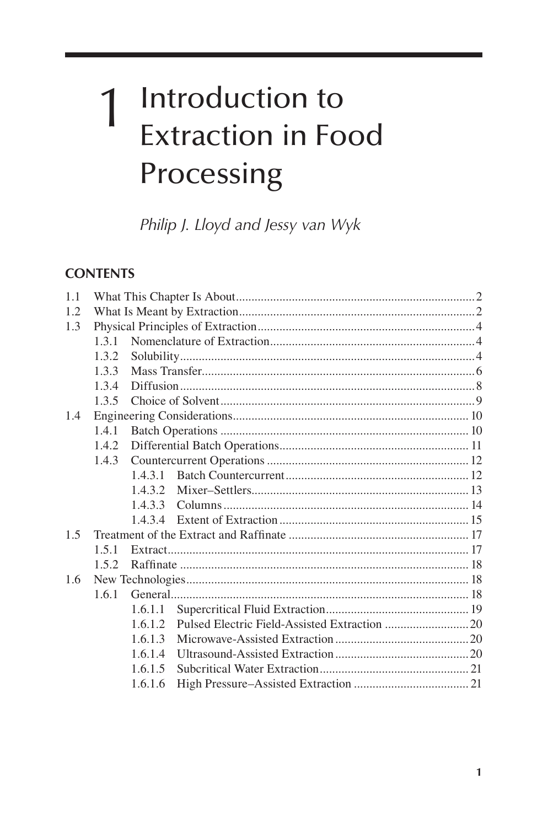# Introduction to 1 **Extraction in Food** Processing

Philip J. Lloyd and Jessy van Wyk

# **CONTENTS**

| 1.1 |       |         |  |  |  |  |
|-----|-------|---------|--|--|--|--|
| 1.2 |       |         |  |  |  |  |
| 1.3 |       |         |  |  |  |  |
|     | 1.3.1 |         |  |  |  |  |
|     | 1.3.2 |         |  |  |  |  |
|     | 1.3.3 |         |  |  |  |  |
|     | 1.3.4 |         |  |  |  |  |
|     | 1.3.5 |         |  |  |  |  |
| 1.4 |       |         |  |  |  |  |
|     | 1.4.1 |         |  |  |  |  |
|     | 1.4.2 |         |  |  |  |  |
|     | 1.4.3 |         |  |  |  |  |
|     |       | 1.4.3.1 |  |  |  |  |
|     |       | 1.4.3.2 |  |  |  |  |
|     |       | 1.4.3.3 |  |  |  |  |
|     |       |         |  |  |  |  |
| 1.5 |       |         |  |  |  |  |
|     | 1.5.1 |         |  |  |  |  |
|     | 1.5.2 |         |  |  |  |  |
| 1.6 |       |         |  |  |  |  |
|     | 1.6.1 |         |  |  |  |  |
|     |       | 1.6.1.1 |  |  |  |  |
|     |       | 1.6.1.2 |  |  |  |  |
|     |       | 1.6.1.3 |  |  |  |  |
|     |       | 1.6.1.4 |  |  |  |  |
|     |       | 1.6.1.5 |  |  |  |  |
|     |       | 1.6.1.6 |  |  |  |  |
|     |       |         |  |  |  |  |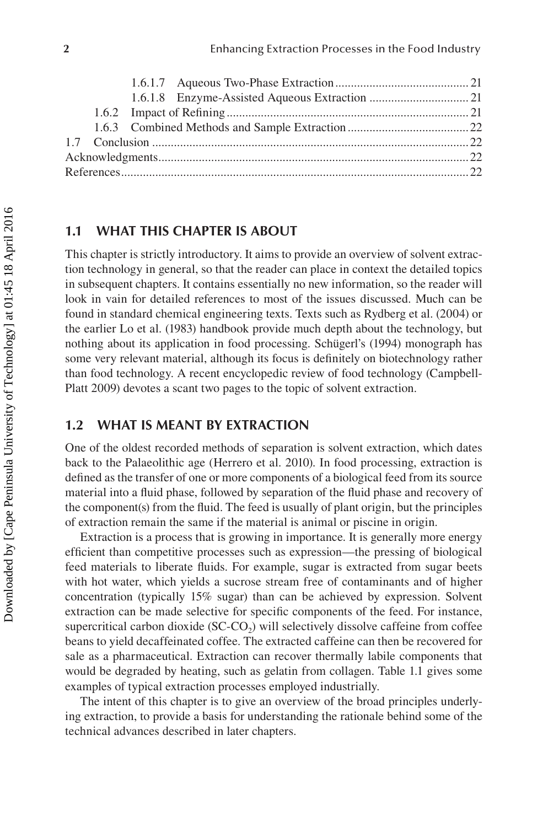# **1.1 WHAT THIS CHAPTER IS ABOUT**

This chapter is strictly introductory. It aims to provide an overview of solvent extraction technology in general, so that the reader can place in context the detailed topics in subsequent chapters. It contains essentially no new information, so the reader will look in vain for detailed references to most of the issues discussed. Much can be found in standard chemical engineering texts. Texts such as Rydberg et al. (2004) or the earlier Lo et al. (1983) handbook provide much depth about the technology, but nothing about its application in food processing. Schügerl's (1994) monograph has some very relevant material, although its focus is definitely on biotechnology rather than food technology. A recent encyclopedic review of food technology (Campbell-Platt 2009) devotes a scant two pages to the topic of solvent extraction.

## **1.2 WHAT IS MEANT BY EXTRACTION**

One of the oldest recorded methods of separation is solvent extraction, which dates back to the Palaeolithic age (Herrero et al. 2010). In food processing, extraction is defined as the transfer of one or more components of a biological feed from its source material into a fluid phase, followed by separation of the fluid phase and recovery of the component(s) from the fluid. The feed is usually of plant origin, but the principles of extraction remain the same if the material is animal or piscine in origin.

Extraction is a process that is growing in importance. It is generally more energy efficient than competitive processes such as expression—the pressing of biological feed materials to liberate fluids. For example, sugar is extracted from sugar beets with hot water, which yields a sucrose stream free of contaminants and of higher concentration (typically 15% sugar) than can be achieved by expression. Solvent extraction can be made selective for specific components of the feed. For instance, supercritical carbon dioxide  $(SC$ - $CO<sub>2</sub>$ ) will selectively dissolve caffeine from coffee beans to yield decaffeinated coffee. The extracted caffeine can then be recovered for sale as a pharmaceutical. Extraction can recover thermally labile components that would be degraded by heating, such as gelatin from collagen. Table 1.1 gives some examples of typical extraction processes employed industrially.

The intent of this chapter is to give an overview of the broad principles underlying extraction, to provide a basis for understanding the rationale behind some of the technical advances described in later chapters.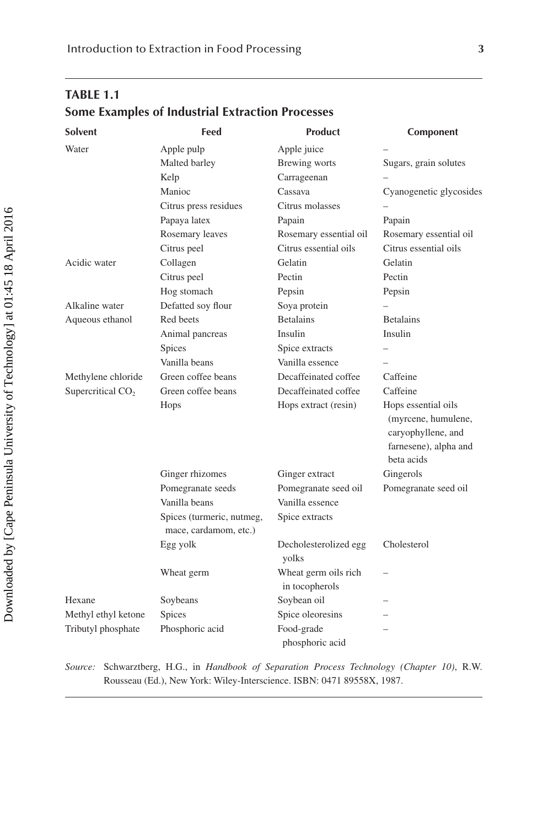# **TABLE 1.1 Some Examples of Industrial Extraction Processes**

| Solvent                       | Feed                                               | <b>Product</b>                 | Component                |
|-------------------------------|----------------------------------------------------|--------------------------------|--------------------------|
| Water                         | Apple pulp                                         | Apple juice                    |                          |
|                               | Malted barley                                      | Brewing worts                  | Sugars, grain solutes    |
|                               | Kelp                                               | Carrageenan                    |                          |
|                               | Manioc                                             | Cassava                        | Cyanogenetic glycosides  |
|                               | Citrus press residues                              | Citrus molasses                |                          |
|                               | Papaya latex                                       | Papain                         | Papain                   |
|                               | Rosemary leaves                                    | Rosemary essential oil         | Rosemary essential oil   |
|                               | Citrus peel                                        | Citrus essential oils          | Citrus essential oils    |
| Acidic water                  | Collagen                                           | Gelatin                        | Gelatin                  |
|                               | Citrus peel                                        | Pectin                         | Pectin                   |
|                               | Hog stomach                                        | Pepsin                         | Pepsin                   |
| Alkaline water                | Defatted soy flour                                 | Soya protein                   |                          |
| Aqueous ethanol               | Red beets                                          | <b>Betalains</b>               | <b>Betalains</b>         |
|                               | Animal pancreas                                    | Insulin                        | Insulin                  |
|                               | Spices                                             | Spice extracts                 | $\overline{\phantom{0}}$ |
|                               | Vanilla beans                                      | Vanilla essence                |                          |
| Methylene chloride            | Green coffee beans                                 | Decaffeinated coffee           | Caffeine                 |
| Supercritical CO <sub>2</sub> | Green coffee beans                                 | Decaffeinated coffee           | Caffeine                 |
|                               | Hops                                               | Hops extract (resin)           | Hops essential oils      |
|                               |                                                    |                                | (myrcene, humulene,      |
|                               |                                                    |                                | caryophyllene, and       |
|                               |                                                    |                                | farnesene), alpha and    |
|                               |                                                    |                                | beta acids               |
|                               | Ginger rhizomes                                    | Ginger extract                 | Gingerols                |
|                               | Pomegranate seeds                                  | Pomegranate seed oil           | Pomegranate seed oil     |
|                               | Vanilla beans                                      | Vanilla essence                |                          |
|                               | Spices (turmeric, nutmeg,<br>mace, cardamom, etc.) | Spice extracts                 |                          |
|                               | Egg yolk                                           | Decholesterolized egg<br>yolks | Cholesterol              |
|                               | Wheat germ                                         | Wheat germ oils rich           |                          |
|                               |                                                    | in tocopherols                 |                          |
| Hexane                        | Soybeans                                           | Soybean oil                    |                          |
| Methyl ethyl ketone           | Spices                                             | Spice oleoresins               |                          |
| Tributyl phosphate            | Phosphoric acid                                    | Food-grade<br>phosphoric acid  |                          |

*Source:* Schwarztberg, H.G., in *Handbook of Separation Process Technology (Chapter 10)*, R.W. Rousseau (Ed.), New York: Wiley-Interscience. ISBN: 0471 89558X, 1987.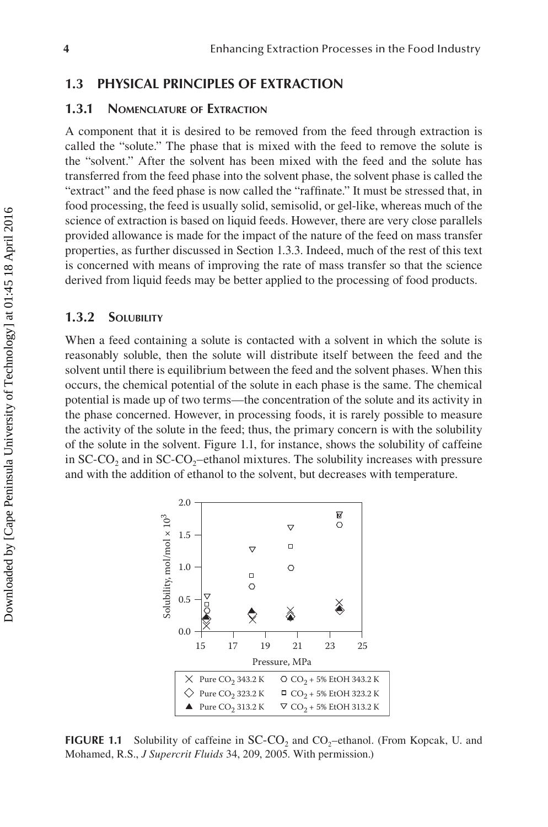# **1.3 PHYSICAL PRINCIPLES OF EXTRACTION**

#### **1.3.1 Nomenclature of Extraction**

A component that it is desired to be removed from the feed through extraction is called the "solute." The phase that is mixed with the feed to remove the solute is the "solvent." After the solvent has been mixed with the feed and the solute has transferred from the feed phase into the solvent phase, the solvent phase is called the "extract" and the feed phase is now called the "raffinate." It must be stressed that, in food processing, the feed is usually solid, semisolid, or gel-like, whereas much of the science of extraction is based on liquid feeds. However, there are very close parallels provided allowance is made for the impact of the nature of the feed on mass transfer properties, as further discussed in Section 1.3.3. Indeed, much of the rest of this text is concerned with means of improving the rate of mass transfer so that the science derived from liquid feeds may be better applied to the processing of food products.

#### **1.3.2 Solubility**

When a feed containing a solute is contacted with a solvent in which the solute is reasonably soluble, then the solute will distribute itself between the feed and the solvent until there is equilibrium between the feed and the solvent phases. When this occurs, the chemical potential of the solute in each phase is the same. The chemical potential is made up of two terms—the concentration of the solute and its activity in the phase concerned. However, in processing foods, it is rarely possible to measure the activity of the solute in the feed; thus, the primary concern is with the solubility of the solute in the solvent. Figure 1.1, for instance, shows the solubility of caffeine in  $SC\text{-}CO$ , and in  $SC\text{-}CO$ ,  $-$ ethanol mixtures. The solubility increases with pressure and with the addition of ethanol to the solvent, but decreases with temperature.



**FIGURE 1.1** Solubility of caffeine in  $SC\text{-}CO<sub>2</sub>$  and  $CO<sub>2</sub>$ –ethanol. (From Kopcak, U. and Mohamed, R.S., *J Supercrit Fluids* 34, 209, 2005. With permission.)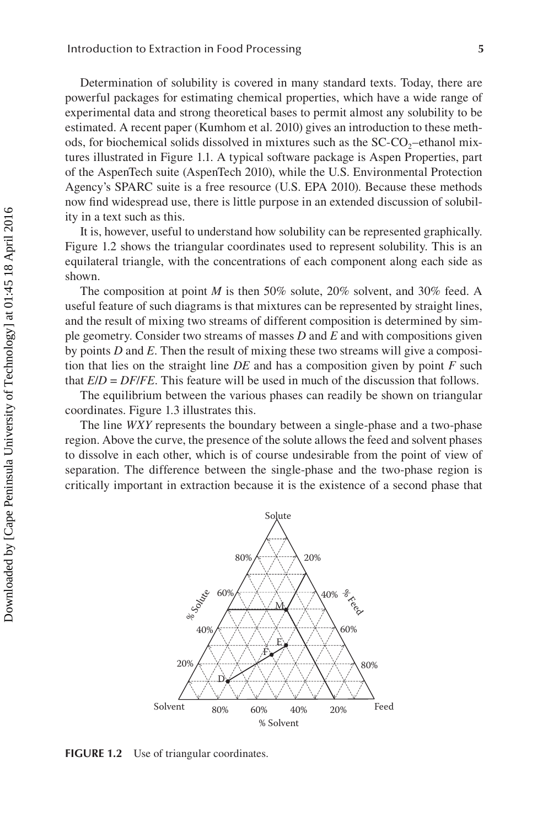Determination of solubility is covered in many standard texts. Today, there are powerful packages for estimating chemical properties, which have a wide range of experimental data and strong theoretical bases to permit almost any solubility to be estimated. A recent paper (Kumhom et al. 2010) gives an introduction to these methods, for biochemical solids dissolved in mixtures such as the  $SC\text{-}CO$ <sub>2</sub>–ethanol mixtures illustrated in Figure 1.1. A typical software package is Aspen Properties, part of the AspenTech suite (AspenTech 2010), while the U.S. Environmental Protection Agency's SPARC suite is a free resource (U.S. EPA 2010). Because these methods now find widespread use, there is little purpose in an extended discussion of solubility in a text such as this.

It is, however, useful to understand how solubility can be represented graphically. Figure 1.2 shows the triangular coordinates used to represent solubility. This is an equilateral triangle, with the concentrations of each component along each side as shown.

The composition at point *M* is then 50% solute, 20% solvent, and 30% feed. A useful feature of such diagrams is that mixtures can be represented by straight lines, and the result of mixing two streams of different composition is determined by simple geometry. Consider two streams of masses *D* and *E* and with compositions given by points *D* and *E*. Then the result of mixing these two streams will give a composition that lies on the straight line  $DE$  and has a composition given by point  $F$  such that *E*/*D* = *DF*/*FE*. This feature will be used in much of the discussion that follows.

The equilibrium between the various phases can readily be shown on triangular coordinates. Figure 1.3 illustrates this.

The line *WXY* represents the boundary between a single-phase and a two-phase region. Above the curve, the presence of the solute allows the feed and solvent phases to dissolve in each other, which is of course undesirable from the point of view of separation. The difference between the single-phase and the two-phase region is critically important in extraction because it is the existence of a second phase that



**FIGURE 1.2**  Use of triangular coordinates.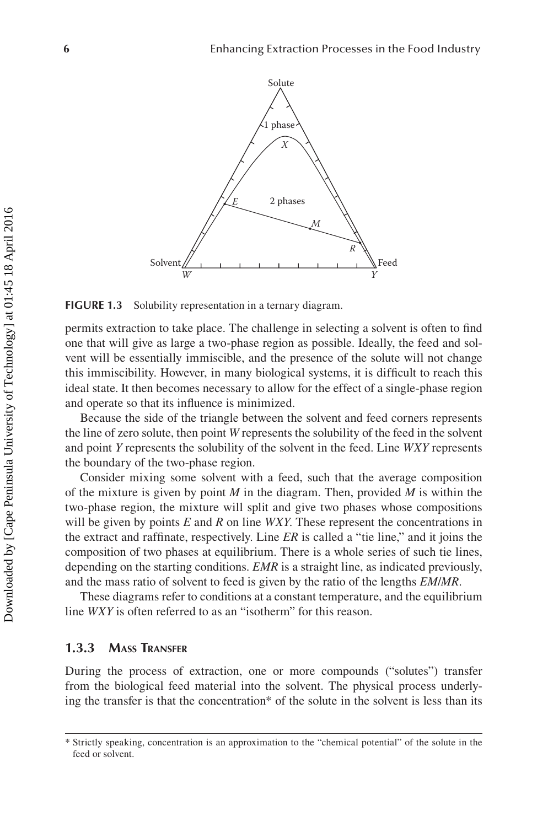

**FIGURE 1.3**  Solubility representation in a ternary diagram.

permits extraction to take place. The challenge in selecting a solvent is often to find one that will give as large a two-phase region as possible. Ideally, the feed and solvent will be essentially immiscible, and the presence of the solute will not change this immiscibility. However, in many biological systems, it is difficult to reach this ideal state. It then becomes necessary to allow for the effect of a single-phase region and operate so that its influence is minimized.

Because the side of the triangle between the solvent and feed corners represents the line of zero solute, then point *W* represents the solubility of the feed in the solvent and point *Y* represents the solubility of the solvent in the feed. Line *WXY* represents the boundary of the two-phase region.

Consider mixing some solvent with a feed, such that the average composition of the mixture is given by point *M* in the diagram. Then, provided *M* is within the two-phase region, the mixture will split and give two phases whose compositions will be given by points *E* and *R* on line *WXY*. These represent the concentrations in the extract and raffinate, respectively. Line *ER* is called a "tie line," and it joins the composition of two phases at equilibrium. There is a whole series of such tie lines, depending on the starting conditions. *EMR* is a straight line, as indicated previously, and the mass ratio of solvent to feed is given by the ratio of the lengths *EM*/*MR*.

These diagrams refer to conditions at a constant temperature, and the equilibrium line *WXY* is often referred to as an "isotherm" for this reason.

#### **1.3.3 Mass Transfer**

During the process of extraction, one or more compounds ("solutes") transfer from the biological feed material into the solvent. The physical process underlying the transfer is that the concentration\* of the solute in the solvent is less than its

<sup>\*</sup> Strictly speaking, concentration is an approximation to the "chemical potential" of the solute in the feed or solvent.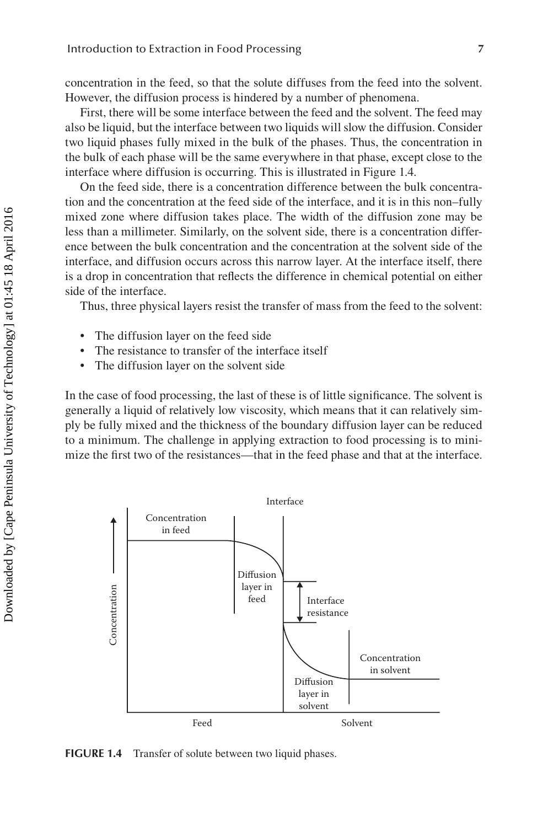concentration in the feed, so that the solute diffuses from the feed into the solvent. However, the diffusion process is hindered by a number of phenomena.

First, there will be some interface between the feed and the solvent. The feed may also be liquid, but the interface between two liquids will slow the diffusion. Consider two liquid phases fully mixed in the bulk of the phases. Thus, the concentration in the bulk of each phase will be the same everywhere in that phase, except close to the interface where diffusion is occurring. This is illustrated in Figure 1.4.

On the feed side, there is a concentration difference between the bulk concentration and the concentration at the feed side of the interface, and it is in this non–fully mixed zone where diffusion takes place. The width of the diffusion zone may be less than a millimeter. Similarly, on the solvent side, there is a concentration difference between the bulk concentration and the concentration at the solvent side of the interface, and diffusion occurs across this narrow layer. At the interface itself, there is a drop in concentration that reflects the difference in chemical potential on either side of the interface.

Thus, three physical layers resist the transfer of mass from the feed to the solvent:

- The diffusion layer on the feed side
- The resistance to transfer of the interface itself
- The diffusion layer on the solvent side

In the case of food processing, the last of these is of little significance. The solvent is generally a liquid of relatively low viscosity, which means that it can relatively simply be fully mixed and the thickness of the boundary diffusion layer can be reduced to a minimum. The challenge in applying extraction to food processing is to minimize the first two of the resistances—that in the feed phase and that at the interface.



**FIGURE 1.4**  Transfer of solute between two liquid phases.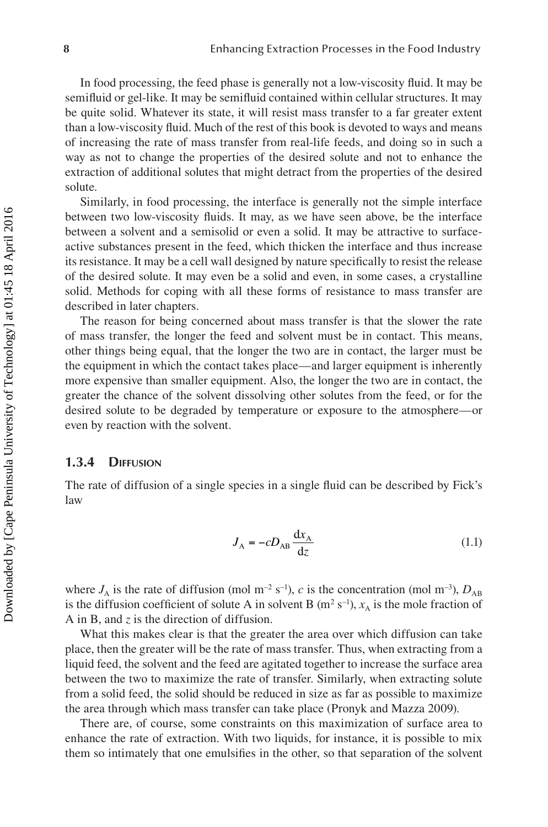In food processing, the feed phase is generally not a low-viscosity fluid. It may be semifluid or gel-like. It may be semifluid contained within cellular structures. It may be quite solid. Whatever its state, it will resist mass transfer to a far greater extent than a low-viscosity fluid. Much of the rest of this book is devoted to ways and means of increasing the rate of mass transfer from real-life feeds, and doing so in such a way as not to change the properties of the desired solute and not to enhance the extraction of additional solutes that might detract from the properties of the desired solute.

Similarly, in food processing, the interface is generally not the simple interface between two low-viscosity fluids. It may, as we have seen above, be the interface between a solvent and a semisolid or even a solid. It may be attractive to surfaceactive substances present in the feed, which thicken the interface and thus increase its resistance. It may be a cell wall designed by nature specifically to resist the release of the desired solute. It may even be a solid and even, in some cases, a crystalline solid. Methods for coping with all these forms of resistance to mass transfer are described in later chapters.

The reason for being concerned about mass transfer is that the slower the rate of mass transfer, the longer the feed and solvent must be in contact. This means, other things being equal, that the longer the two are in contact, the larger must be the equipment in which the contact takes place—and larger equipment is inherently more expensive than smaller equipment. Also, the longer the two are in contact, the greater the chance of the solvent dissolving other solutes from the feed, or for the desired solute to be degraded by temperature or exposure to the atmosphere—or even by reaction with the solvent.

#### **1.3.4 Diffusion**

The rate of diffusion of a single species in a single fluid can be described by Fick's law

$$
J_{A} = -cD_{AB} \frac{dx_{A}}{dz}
$$
 (1.1)

where  $J_A$  is the rate of diffusion (mol m<sup>-2</sup> s<sup>-1</sup>), *c* is the concentration (mol m<sup>-3</sup>),  $D_{AB}$ is the diffusion coefficient of solute A in solvent B ( $m^2 s^{-1}$ ),  $x_A$  is the mole fraction of A in B, and *z* is the direction of diffusion.

What this makes clear is that the greater the area over which diffusion can take place, then the greater will be the rate of mass transfer. Thus, when extracting from a liquid feed, the solvent and the feed are agitated together to increase the surface area between the two to maximize the rate of transfer. Similarly, when extracting solute from a solid feed, the solid should be reduced in size as far as possible to maximize the area through which mass transfer can take place (Pronyk and Mazza 2009).

There are, of course, some constraints on this maximization of surface area to enhance the rate of extraction. With two liquids, for instance, it is possible to mix them so intimately that one emulsifies in the other, so that separation of the solvent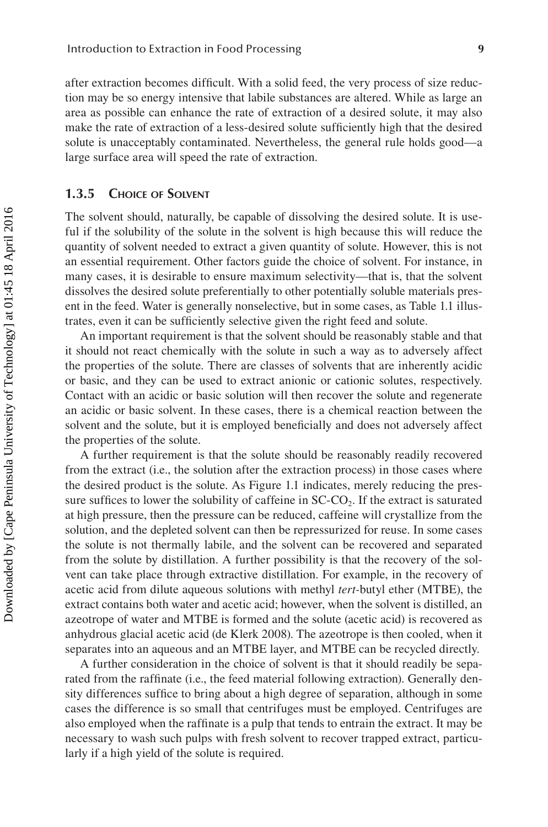after extraction becomes difficult. With a solid feed, the very process of size reduction may be so energy intensive that labile substances are altered. While as large an area as possible can enhance the rate of extraction of a desired solute, it may also make the rate of extraction of a less-desired solute sufficiently high that the desired solute is unacceptably contaminated. Nevertheless, the general rule holds good—a large surface area will speed the rate of extraction.

#### **1.3.5 Choice of Solvent**

The solvent should, naturally, be capable of dissolving the desired solute. It is useful if the solubility of the solute in the solvent is high because this will reduce the quantity of solvent needed to extract a given quantity of solute. However, this is not an essential requirement. Other factors guide the choice of solvent. For instance, in many cases, it is desirable to ensure maximum selectivity—that is, that the solvent dissolves the desired solute preferentially to other potentially soluble materials present in the feed. Water is generally nonselective, but in some cases, as Table 1.1 illustrates, even it can be sufficiently selective given the right feed and solute.

An important requirement is that the solvent should be reasonably stable and that it should not react chemically with the solute in such a way as to adversely affect the properties of the solute. There are classes of solvents that are inherently acidic or basic, and they can be used to extract anionic or cationic solutes, respectively. Contact with an acidic or basic solution will then recover the solute and regenerate an acidic or basic solvent. In these cases, there is a chemical reaction between the solvent and the solute, but it is employed beneficially and does not adversely affect the properties of the solute.

A further requirement is that the solute should be reasonably readily recovered from the extract (i.e., the solution after the extraction process) in those cases where the desired product is the solute. As Figure 1.1 indicates, merely reducing the pressure suffices to lower the solubility of caffeine in  $SCCO<sub>2</sub>$ . If the extract is saturated at high pressure, then the pressure can be reduced, caffeine will crystallize from the solution, and the depleted solvent can then be repressurized for reuse. In some cases the solute is not thermally labile, and the solvent can be recovered and separated from the solute by distillation. A further possibility is that the recovery of the solvent can take place through extractive distillation. For example, in the recovery of acetic acid from dilute aqueous solutions with methyl *tert-*butyl ether (MTBE), the extract contains both water and acetic acid; however, when the solvent is distilled, an azeotrope of water and MTBE is formed and the solute (acetic acid) is recovered as anhydrous glacial acetic acid (de Klerk 2008). The azeotrope is then cooled, when it separates into an aqueous and an MTBE layer, and MTBE can be recycled directly.

A further consideration in the choice of solvent is that it should readily be separated from the raffinate (i.e., the feed material following extraction). Generally density differences suffice to bring about a high degree of separation, although in some cases the difference is so small that centrifuges must be employed. Centrifuges are also employed when the raffinate is a pulp that tends to entrain the extract. It may be necessary to wash such pulps with fresh solvent to recover trapped extract, particularly if a high yield of the solute is required.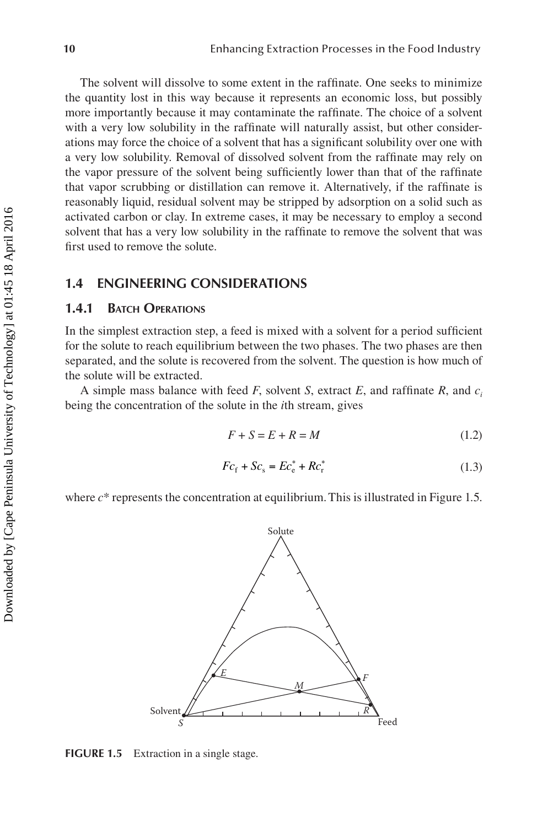The solvent will dissolve to some extent in the raffinate. One seeks to minimize the quantity lost in this way because it represents an economic loss, but possibly more importantly because it may contaminate the raffinate. The choice of a solvent with a very low solubility in the raffinate will naturally assist, but other considerations may force the choice of a solvent that has a significant solubility over one with a very low solubility. Removal of dissolved solvent from the raffinate may rely on the vapor pressure of the solvent being sufficiently lower than that of the raffinate that vapor scrubbing or distillation can remove it. Alternatively, if the raffinate is reasonably liquid, residual solvent may be stripped by adsorption on a solid such as activated carbon or clay. In extreme cases, it may be necessary to employ a second solvent that has a very low solubility in the raffinate to remove the solvent that was first used to remove the solute.

# **1.4 ENGINEERING CONSIDERATIONS**

#### **1.4.1 Batch Operations**

In the simplest extraction step, a feed is mixed with a solvent for a period sufficient for the solute to reach equilibrium between the two phases. The two phases are then separated, and the solute is recovered from the solvent. The question is how much of the solute will be extracted.

A simple mass balance with feed *F*, solvent *S*, extract *E*, and raffinate *R*, and *ci* being the concentration of the solute in the *i*th stream, gives

$$
F + S = E + R = M \tag{1.2}
$$

$$
Fc_{\rm f} + Sc_{\rm s} = Ec_{\rm e}^* + Rc_{\rm r}^* \tag{1.3}
$$

where  $c^*$  represents the concentration at equilibrium. This is illustrated in Figure 1.5.



**FIGURE 1.5**  Extraction in a single stage.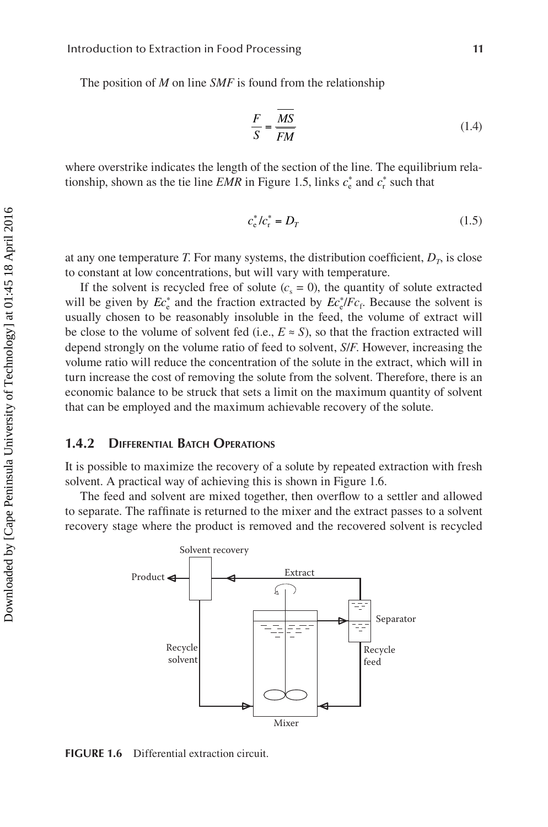The position of *M* on line *SMF* is found from the relationship

$$
\frac{F}{S} = \frac{\overline{MS}}{FM}
$$
 (1.4)

where overstrike indicates the length of the section of the line. The equilibrium relationship, shown as the tie line *EMR* in Figure 1.5, links  $c_e^*$  and  $c_r^*$  such that

$$
c_{\rm e}^* / c_{\rm r}^* = D_T \tag{1.5}
$$

at any one temperature *T*. For many systems, the distribution coefficient,  $D<sub>T</sub>$ , is close to constant at low concentrations, but will vary with temperature.

If the solvent is recycled free of solute  $(c<sub>s</sub> = 0)$ , the quantity of solute extracted will be given by  $Ec_e^*$  and the fraction extracted by  $Ec_e^*/Fc_f$ . Because the solvent is usually chosen to be reasonably insoluble in the feed, the volume of extract will be close to the volume of solvent fed (i.e.,  $E \approx S$ ), so that the fraction extracted will depend strongly on the volume ratio of feed to solvent, *S*/*F*. However, increasing the volume ratio will reduce the concentration of the solute in the extract, which will in turn increase the cost of removing the solute from the solvent. Therefore, there is an economic balance to be struck that sets a limit on the maximum quantity of solvent that can be employed and the maximum achievable recovery of the solute.

#### **1.4.2 Differential Batch Operations**

It is possible to maximize the recovery of a solute by repeated extraction with fresh solvent. A practical way of achieving this is shown in Figure 1.6.

The feed and solvent are mixed together, then overflow to a settler and allowed to separate. The raffinate is returned to the mixer and the extract passes to a solvent recovery stage where the product is removed and the recovered solvent is recycled



**FIGURE 1.6**  Differential extraction circuit.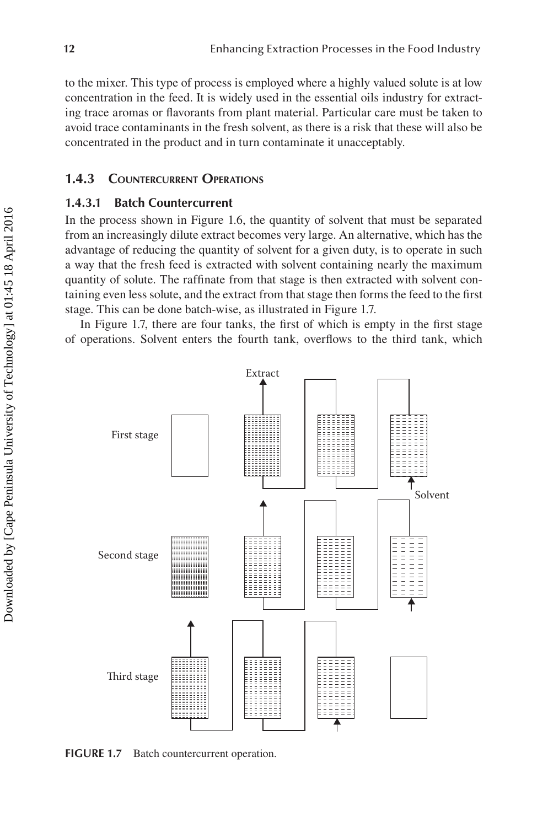to the mixer. This type of process is employed where a highly valued solute is at low concentration in the feed. It is widely used in the essential oils industry for extracting trace aromas or flavorants from plant material. Particular care must be taken to avoid trace contaminants in the fresh solvent, as there is a risk that these will also be concentrated in the product and in turn contaminate it unacceptably.

# **1.4.3 Countercurrent Operations**

## **1.4.3.1 Batch Countercurrent**

In the process shown in Figure 1.6, the quantity of solvent that must be separated from an increasingly dilute extract becomes very large. An alternative, which has the advantage of reducing the quantity of solvent for a given duty, is to operate in such a way that the fresh feed is extracted with solvent containing nearly the maximum quantity of solute. The raffinate from that stage is then extracted with solvent containing even less solute, and the extract from that stage then forms the feed to the first stage. This can be done batch-wise, as illustrated in Figure 1.7.

In Figure 1.7, there are four tanks, the first of which is empty in the first stage of operations. Solvent enters the fourth tank, overflows to the third tank, which



**FIGURE 1.7**  Batch countercurrent operation.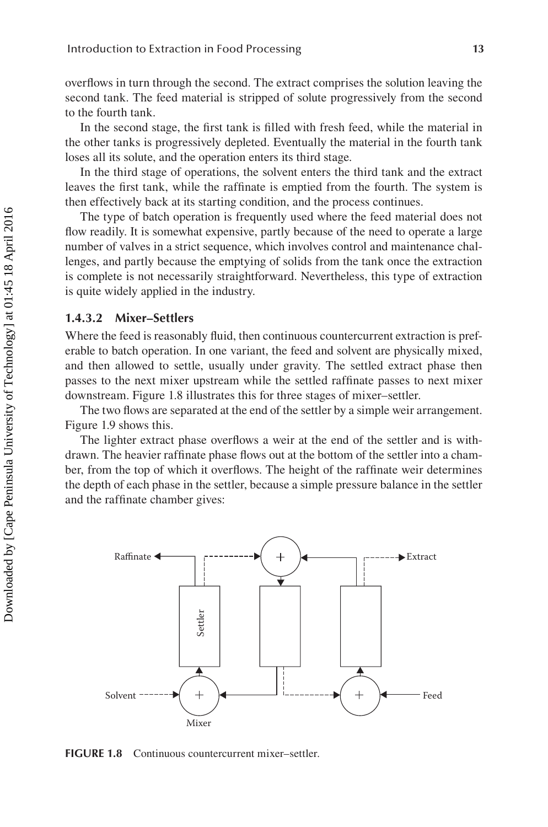overflows in turn through the second. The extract comprises the solution leaving the second tank. The feed material is stripped of solute progressively from the second to the fourth tank.

In the second stage, the first tank is filled with fresh feed, while the material in the other tanks is progressively depleted. Eventually the material in the fourth tank loses all its solute, and the operation enters its third stage.

In the third stage of operations, the solvent enters the third tank and the extract leaves the first tank, while the raffinate is emptied from the fourth. The system is then effectively back at its starting condition, and the process continues.

The type of batch operation is frequently used where the feed material does not flow readily. It is somewhat expensive, partly because of the need to operate a large number of valves in a strict sequence, which involves control and maintenance challenges, and partly because the emptying of solids from the tank once the extraction is complete is not necessarily straightforward. Nevertheless, this type of extraction is quite widely applied in the industry.

#### **1.4.3.2 Mixer–Settlers**

Where the feed is reasonably fluid, then continuous countercurrent extraction is preferable to batch operation. In one variant, the feed and solvent are physically mixed, and then allowed to settle, usually under gravity. The settled extract phase then passes to the next mixer upstream while the settled raffinate passes to next mixer downstream. Figure 1.8 illustrates this for three stages of mixer–settler.

The two flows are separated at the end of the settler by a simple weir arrangement. Figure 1.9 shows this.

The lighter extract phase overflows a weir at the end of the settler and is withdrawn. The heavier raffinate phase flows out at the bottom of the settler into a chamber, from the top of which it overflows. The height of the raffinate weir determines the depth of each phase in the settler, because a simple pressure balance in the settler and the raffinate chamber gives:



**FIGURE 1.8**  Continuous countercurrent mixer–settler.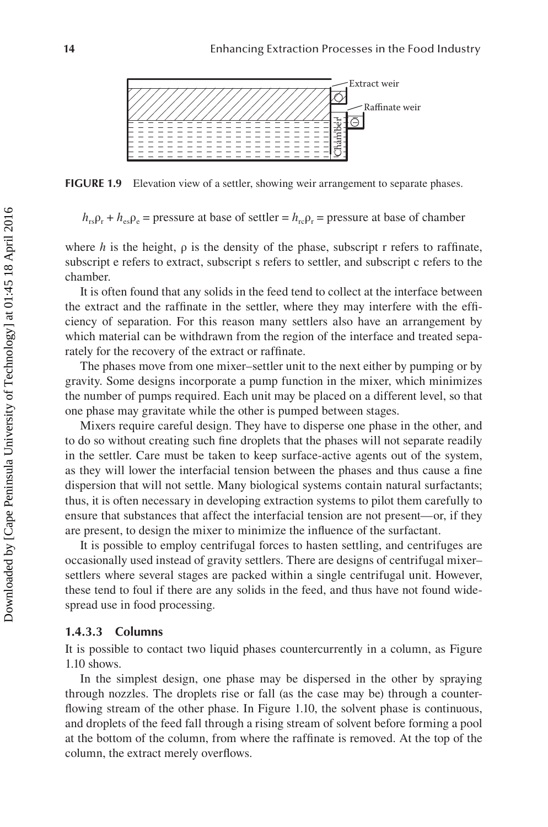

**FIGURE 1.9** Elevation view of a settler, showing weir arrangement to separate phases.

 $h_{rs}\rho_r + h_{es}\rho_e$  = pressure at base of settler =  $h_{rc}\rho_r$  = pressure at base of chamber

where *h* is the height,  $\rho$  is the density of the phase, subscript r refers to raffinate, subscript e refers to extract, subscript s refers to settler, and subscript c refers to the chamber.

It is often found that any solids in the feed tend to collect at the interface between the extract and the raffinate in the settler, where they may interfere with the efficiency of separation. For this reason many settlers also have an arrangement by which material can be withdrawn from the region of the interface and treated separately for the recovery of the extract or raffinate.

The phases move from one mixer–settler unit to the next either by pumping or by gravity. Some designs incorporate a pump function in the mixer, which minimizes the number of pumps required. Each unit may be placed on a different level, so that one phase may gravitate while the other is pumped between stages.

Mixers require careful design. They have to disperse one phase in the other, and to do so without creating such fine droplets that the phases will not separate readily in the settler. Care must be taken to keep surface-active agents out of the system, as they will lower the interfacial tension between the phases and thus cause a fine dispersion that will not settle. Many biological systems contain natural surfactants; thus, it is often necessary in developing extraction systems to pilot them carefully to ensure that substances that affect the interfacial tension are not present—or, if they are present, to design the mixer to minimize the influence of the surfactant.

It is possible to employ centrifugal forces to hasten settling, and centrifuges are occasionally used instead of gravity settlers. There are designs of centrifugal mixer– settlers where several stages are packed within a single centrifugal unit. However, these tend to foul if there are any solids in the feed, and thus have not found widespread use in food processing.

#### **1.4.3.3 Columns**

It is possible to contact two liquid phases countercurrently in a column, as Figure 1.10 shows.

In the simplest design, one phase may be dispersed in the other by spraying through nozzles. The droplets rise or fall (as the case may be) through a counterflowing stream of the other phase. In Figure 1.10, the solvent phase is continuous, and droplets of the feed fall through a rising stream of solvent before forming a pool at the bottom of the column, from where the raffinate is removed. At the top of the column, the extract merely overflows.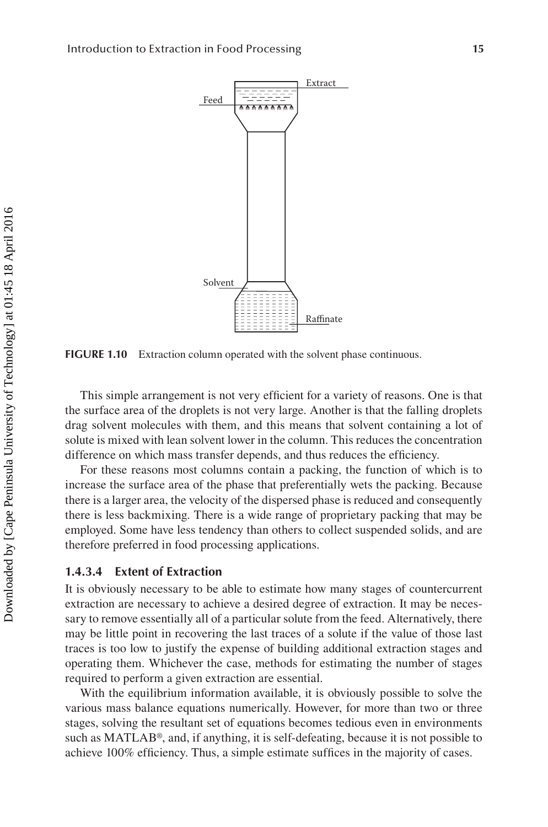

**FIGURE 1.10**  Extraction column operated with the solvent phase continuous.

This simple arrangement is not very efficient for a variety of reasons. One is that the surface area of the droplets is not very large. Another is that the falling droplets drag solvent molecules with them, and this means that solvent containing a lot of solute is mixed with lean solvent lower in the column. This reduces the concentration difference on which mass transfer depends, and thus reduces the efficiency.

For these reasons most columns contain a packing, the function of which is to increase the surface area of the phase that preferentially wets the packing. Because there is a larger area, the velocity of the dispersed phase is reduced and consequently there is less backmixing. There is a wide range of proprietary packing that may be employed. Some have less tendency than others to collect suspended solids, and are therefore preferred in food processing applications.

#### **1.4.3.4 Extent of Extraction**

It is obviously necessary to be able to estimate how many stages of countercurrent extraction are necessary to achieve a desired degree of extraction. It may be necessary to remove essentially all of a particular solute from the feed. Alternatively, there may be little point in recovering the last traces of a solute if the value of those last traces is too low to justify the expense of building additional extraction stages and operating them. Whichever the case, methods for estimating the number of stages required to perform a given extraction are essential.

With the equilibrium information available, it is obviously possible to solve the various mass balance equations numerically. However, for more than two or three stages, solving the resultant set of equations becomes tedious even in environments such as MATLAB®, and, if anything, it is self-defeating, because it is not possible to achieve 100% efficiency. Thus, a simple estimate suffices in the majority of cases.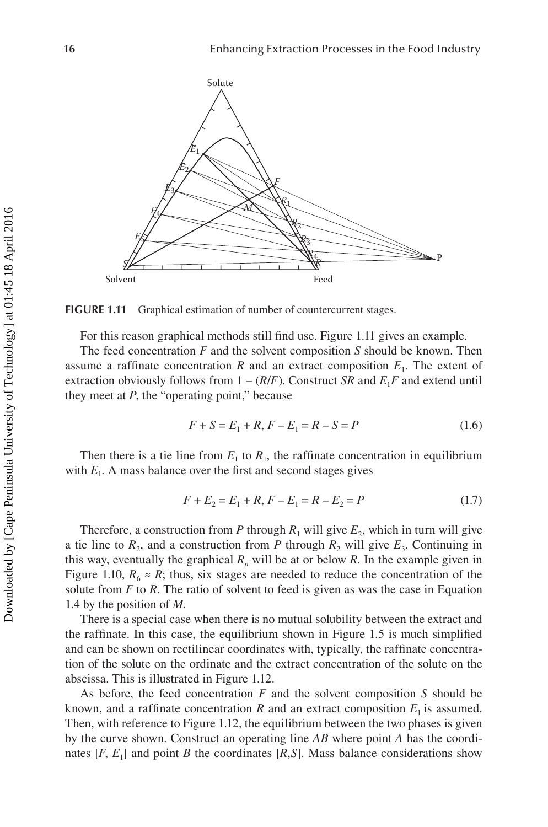

**FIGURE 1.11**  Graphical estimation of number of countercurrent stages.

For this reason graphical methods still find use. Figure 1.11 gives an example.

The feed concentration *F* and the solvent composition *S* should be known. Then assume a raffinate concentration *R* and an extract composition  $E_1$ . The extent of extraction obviously follows from  $1 - (R/F)$ . Construct *SR* and  $E_1F$  and extend until they meet at *P*, the "operating point," because

$$
F + S = E_1 + R, F - E_1 = R - S = P \tag{1.6}
$$

Then there is a tie line from  $E_1$  to  $R_1$ , the raffinate concentration in equilibrium with  $E_1$ . A mass balance over the first and second stages gives

$$
F + E_2 = E_1 + R, F - E_1 = R - E_2 = P \tag{1.7}
$$

Therefore, a construction from *P* through  $R_1$  will give  $E_2$ , which in turn will give a tie line to  $R_2$ , and a construction from *P* through  $R_2$  will give  $E_3$ . Continuing in this way, eventually the graphical  $R<sub>n</sub>$  will be at or below  $R$ . In the example given in Figure 1.10,  $R_6 \approx R$ ; thus, six stages are needed to reduce the concentration of the solute from *F* to *R*. The ratio of solvent to feed is given as was the case in Equation 1.4 by the position of *M*.

There is a special case when there is no mutual solubility between the extract and the raffinate. In this case, the equilibrium shown in Figure 1.5 is much simplified and can be shown on rectilinear coordinates with, typically, the raffinate concentration of the solute on the ordinate and the extract concentration of the solute on the abscissa. This is illustrated in Figure 1.12.

As before, the feed concentration *F* and the solvent composition *S* should be known, and a raffinate concentration *R* and an extract composition  $E_1$  is assumed. Then, with reference to Figure 1.12, the equilibrium between the two phases is given by the curve shown. Construct an operating line *AB* where point *A* has the coordinates  $[F, E_1]$  and point *B* the coordinates  $[R, S]$ . Mass balance considerations show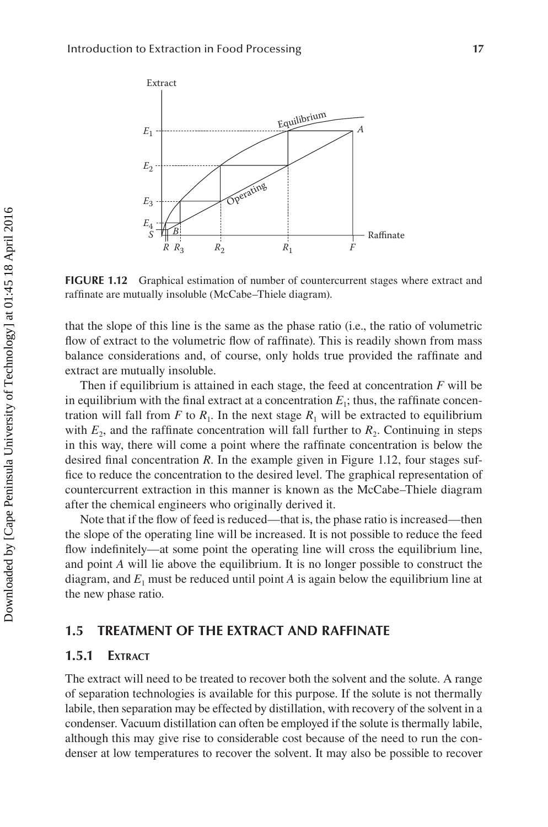

**FIGURE 1.12**  Graphical estimation of number of countercurrent stages where extract and raffinate are mutually insoluble (McCabe–Thiele diagram).

that the slope of this line is the same as the phase ratio (i.e., the ratio of volumetric flow of extract to the volumetric flow of raffinate). This is readily shown from mass balance considerations and, of course, only holds true provided the raffinate and extract are mutually insoluble.

Then if equilibrium is attained in each stage, the feed at concentration *F* will be in equilibrium with the final extract at a concentration  $E_1$ ; thus, the raffinate concentration will fall from *F* to  $R_1$ . In the next stage  $R_1$  will be extracted to equilibrium with  $E_2$ , and the raffinate concentration will fall further to  $R_2$ . Continuing in steps in this way, there will come a point where the raffinate concentration is below the desired final concentration *R*. In the example given in Figure 1.12, four stages suffice to reduce the concentration to the desired level. The graphical representation of countercurrent extraction in this manner is known as the McCabe–Thiele diagram after the chemical engineers who originally derived it.

Note that if the flow of feed is reduced—that is, the phase ratio is increased—then the slope of the operating line will be increased. It is not possible to reduce the feed flow indefinitely—at some point the operating line will cross the equilibrium line, and point *A* will lie above the equilibrium. It is no longer possible to construct the diagram, and  $E_1$  must be reduced until point  $A$  is again below the equilibrium line at the new phase ratio.

# **1.5 TREATMENT OF THE EXTRACT AND RAFFINATE**

#### **1.5.1 Extract**

The extract will need to be treated to recover both the solvent and the solute. A range of separation technologies is available for this purpose. If the solute is not thermally labile, then separation may be effected by distillation, with recovery of the solvent in a condenser. Vacuum distillation can often be employed if the solute is thermally labile, although this may give rise to considerable cost because of the need to run the condenser at low temperatures to recover the solvent. It may also be possible to recover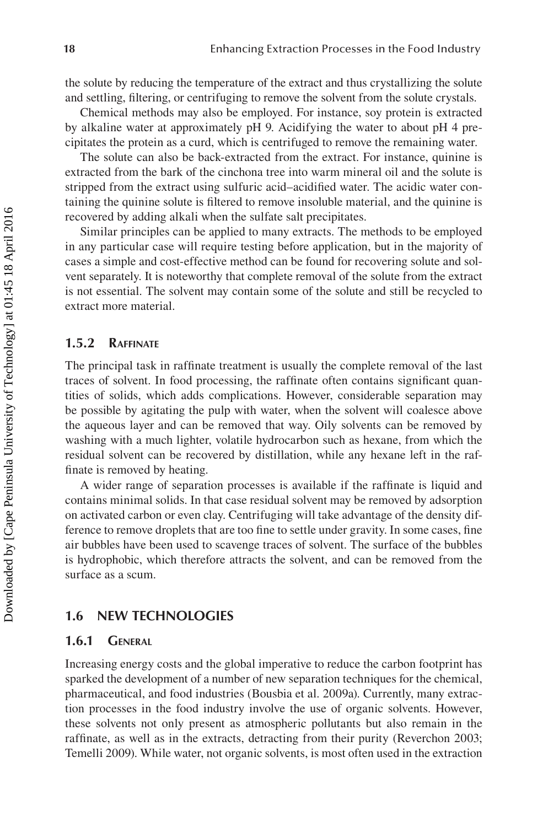the solute by reducing the temperature of the extract and thus crystallizing the solute and settling, filtering, or centrifuging to remove the solvent from the solute crystals.

Chemical methods may also be employed. For instance, soy protein is extracted by alkaline water at approximately pH 9. Acidifying the water to about pH 4 precipitates the protein as a curd, which is centrifuged to remove the remaining water.

The solute can also be back-extracted from the extract. For instance, quinine is extracted from the bark of the cinchona tree into warm mineral oil and the solute is stripped from the extract using sulfuric acid–acidified water. The acidic water containing the quinine solute is filtered to remove insoluble material, and the quinine is recovered by adding alkali when the sulfate salt precipitates.

Similar principles can be applied to many extracts. The methods to be employed in any particular case will require testing before application, but in the majority of cases a simple and cost-effective method can be found for recovering solute and solvent separately. It is noteworthy that complete removal of the solute from the extract is not essential. The solvent may contain some of the solute and still be recycled to extract more material.

## **1.5.2 Raffinate**

The principal task in raffinate treatment is usually the complete removal of the last traces of solvent. In food processing, the raffinate often contains significant quantities of solids, which adds complications. However, considerable separation may be possible by agitating the pulp with water, when the solvent will coalesce above the aqueous layer and can be removed that way. Oily solvents can be removed by washing with a much lighter, volatile hydrocarbon such as hexane, from which the residual solvent can be recovered by distillation, while any hexane left in the raffinate is removed by heating.

A wider range of separation processes is available if the raffinate is liquid and contains minimal solids. In that case residual solvent may be removed by adsorption on activated carbon or even clay. Centrifuging will take advantage of the density difference to remove droplets that are too fine to settle under gravity. In some cases, fine air bubbles have been used to scavenge traces of solvent. The surface of the bubbles is hydrophobic, which therefore attracts the solvent, and can be removed from the surface as a scum.

# **1.6 NEW TECHNOLOGIES**

#### **1.6.1 General**

Increasing energy costs and the global imperative to reduce the carbon footprint has sparked the development of a number of new separation techniques for the chemical, pharmaceutical, and food industries (Bousbia et al. 2009a). Currently, many extraction processes in the food industry involve the use of organic solvents. However, these solvents not only present as atmospheric pollutants but also remain in the raffinate, as well as in the extracts, detracting from their purity (Reverchon 2003; Temelli 2009). While water, not organic solvents, is most often used in the extraction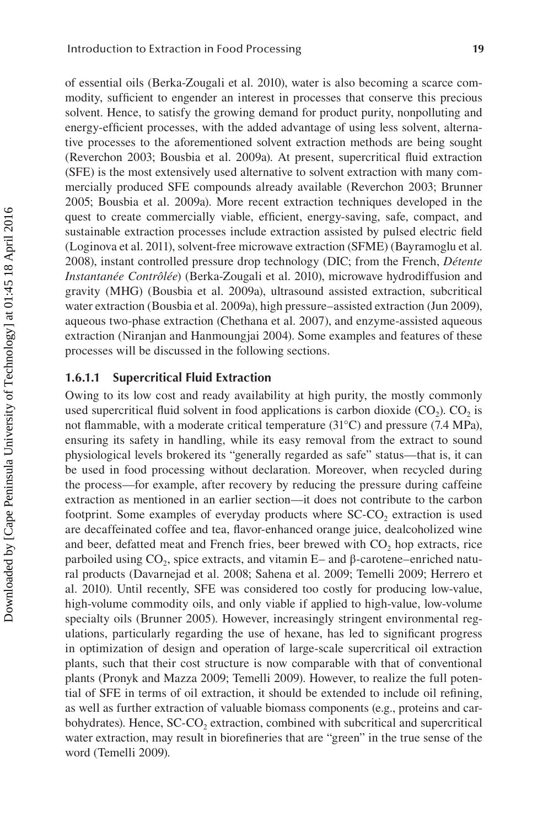of essential oils (Berka-Zougali et al. 2010), water is also becoming a scarce commodity, sufficient to engender an interest in processes that conserve this precious solvent. Hence, to satisfy the growing demand for product purity, nonpolluting and energy-efficient processes, with the added advantage of using less solvent, alternative processes to the aforementioned solvent extraction methods are being sought (Reverchon 2003; Bousbia et al. 2009a). At present, supercritical fluid extraction (SFE) is the most extensively used alternative to solvent extraction with many commercially produced SFE compounds already available (Reverchon 2003; Brunner 2005; Bousbia et al. 2009a). More recent extraction techniques developed in the quest to create commercially viable, efficient, energy-saving, safe, compact, and sustainable extraction processes include extraction assisted by pulsed electric field (Loginova et al. 2011), solvent-free microwave extraction (SFME) (Bayramoglu et al. 2008), instant controlled pressure drop technology (DIC; from the French, *Détente Instantanée Contrôlée*) (Berka-Zougali et al. 2010), microwave hydrodiffusion and gravity (MHG) (Bousbia et al. 2009a), ultrasound assisted extraction, subcritical water extraction (Bousbia et al. 2009a), high pressure–assisted extraction (Jun 2009), aqueous two-phase extraction (Chethana et al. 2007), and enzyme-assisted aqueous extraction (Niranjan and Hanmoungjai 2004). Some examples and features of these processes will be discussed in the following sections.

#### **1.6.1.1 Supercritical Fluid Extraction**

Owing to its low cost and ready availability at high purity, the mostly commonly used supercritical fluid solvent in food applications is carbon dioxide  $(CO<sub>2</sub>)$ .  $CO<sub>2</sub>$  is not flammable, with a moderate critical temperature (31°C) and pressure (7.4 MPa), ensuring its safety in handling, while its easy removal from the extract to sound physiological levels brokered its "generally regarded as safe" status—that is, it can be used in food processing without declaration. Moreover, when recycled during the process—for example, after recovery by reducing the pressure during caffeine extraction as mentioned in an earlier section—it does not contribute to the carbon footprint. Some examples of everyday products where  $SC\text{-}CO<sub>2</sub>$  extraction is used are decaffeinated coffee and tea, flavor-enhanced orange juice, dealcoholized wine and beer, defatted meat and French fries, beer brewed with  $CO<sub>2</sub>$  hop extracts, rice parboiled using  $CO_2$ , spice extracts, and vitamin E– and β-carotene–enriched natural products (Davarnejad et al. 2008; Sahena et al. 2009; Temelli 2009; Herrero et al. 2010). Until recently, SFE was considered too costly for producing low-value, high-volume commodity oils, and only viable if applied to high-value, low-volume specialty oils (Brunner 2005). However, increasingly stringent environmental regulations, particularly regarding the use of hexane, has led to significant progress in optimization of design and operation of large-scale supercritical oil extraction plants, such that their cost structure is now comparable with that of conventional plants (Pronyk and Mazza 2009; Temelli 2009). However, to realize the full potential of SFE in terms of oil extraction, it should be extended to include oil refining, as well as further extraction of valuable biomass components (e.g., proteins and carbohydrates). Hence,  $SC\text{-}CO<sub>2</sub>$  extraction, combined with subcritical and supercritical water extraction, may result in biorefineries that are "green" in the true sense of the word (Temelli 2009).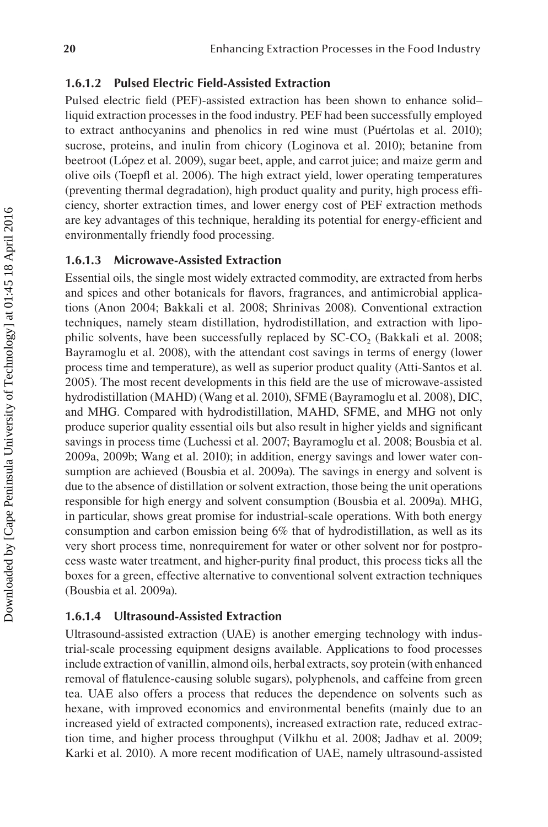## **1.6.1.2 Pulsed Electric Field-Assisted Extraction**

Pulsed electric field (PEF)-assisted extraction has been shown to enhance solid– liquid extraction processes in the food industry. PEF had been successfully employed to extract anthocyanins and phenolics in red wine must (Puértolas et al. 2010); sucrose, proteins, and inulin from chicory (Loginova et al. 2010); betanine from beetroot (López et al. 2009), sugar beet, apple, and carrot juice; and maize germ and olive oils (Toepfl et al. 2006). The high extract yield, lower operating temperatures (preventing thermal degradation), high product quality and purity, high process efficiency, shorter extraction times, and lower energy cost of PEF extraction methods are key advantages of this technique, heralding its potential for energy-efficient and environmentally friendly food processing.

## **1.6.1.3 Microwave-Assisted Extraction**

Essential oils, the single most widely extracted commodity, are extracted from herbs and spices and other botanicals for flavors, fragrances, and antimicrobial applications (Anon 2004; Bakkali et al. 2008; Shrinivas 2008). Conventional extraction techniques, namely steam distillation, hydrodistillation, and extraction with lipophilic solvents, have been successfully replaced by  $SCCO<sub>2</sub>$  (Bakkali et al. 2008; Bayramoglu et al. 2008), with the attendant cost savings in terms of energy (lower process time and temperature), as well as superior product quality (Atti-Santos et al. 2005). The most recent developments in this field are the use of microwave-assisted hydrodistillation (MAHD) (Wang et al. 2010), SFME (Bayramoglu et al. 2008), DIC, and MHG. Compared with hydrodistillation, MAHD, SFME, and MHG not only produce superior quality essential oils but also result in higher yields and significant savings in process time (Luchessi et al. 2007; Bayramoglu et al. 2008; Bousbia et al. 2009a, 2009b; Wang et al. 2010); in addition, energy savings and lower water consumption are achieved (Bousbia et al. 2009a). The savings in energy and solvent is due to the absence of distillation or solvent extraction, those being the unit operations responsible for high energy and solvent consumption (Bousbia et al. 2009a). MHG, in particular, shows great promise for industrial-scale operations. With both energy consumption and carbon emission being 6% that of hydrodistillation, as well as its very short process time, nonrequirement for water or other solvent nor for postprocess waste water treatment, and higher-purity final product, this process ticks all the boxes for a green, effective alternative to conventional solvent extraction techniques (Bousbia et al. 2009a).

# **1.6.1.4 Ultrasound-Assisted Extraction**

Ultrasound-assisted extraction (UAE) is another emerging technology with industrial-scale processing equipment designs available. Applications to food processes include extraction of vanillin, almond oils, herbal extracts, soy protein (with enhanced removal of flatulence-causing soluble sugars), polyphenols, and caffeine from green tea. UAE also offers a process that reduces the dependence on solvents such as hexane, with improved economics and environmental benefits (mainly due to an increased yield of extracted components), increased extraction rate, reduced extraction time, and higher process throughput (Vilkhu et al. 2008; Jadhav et al. 2009; Karki et al. 2010). A more recent modification of UAE, namely ultrasound-assisted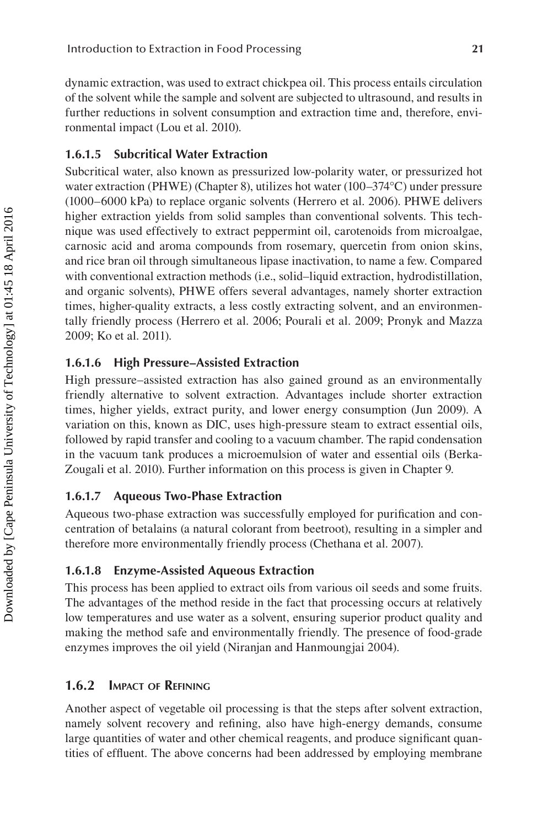dynamic extraction, was used to extract chickpea oil. This process entails circulation of the solvent while the sample and solvent are subjected to ultrasound, and results in further reductions in solvent consumption and extraction time and, therefore, environmental impact (Lou et al. 2010).

#### **1.6.1.5 Subcritical Water Extraction**

Subcritical water, also known as pressurized low-polarity water, or pressurized hot water extraction (PHWE) (Chapter 8), utilizes hot water (100–374°C) under pressure (1000–6000 kPa) to replace organic solvents (Herrero et al. 2006). PHWE delivers higher extraction yields from solid samples than conventional solvents. This technique was used effectively to extract peppermint oil, carotenoids from microalgae, carnosic acid and aroma compounds from rosemary, quercetin from onion skins, and rice bran oil through simultaneous lipase inactivation, to name a few. Compared with conventional extraction methods (i.e., solid–liquid extraction, hydrodistillation, and organic solvents), PHWE offers several advantages, namely shorter extraction times, higher-quality extracts, a less costly extracting solvent, and an environmentally friendly process (Herrero et al. 2006; Pourali et al. 2009; Pronyk and Mazza 2009; Ko et al. 2011).

## **1.6.1.6 High Pressure–Assisted Extraction**

High pressure–assisted extraction has also gained ground as an environmentally friendly alternative to solvent extraction. Advantages include shorter extraction times, higher yields, extract purity, and lower energy consumption (Jun 2009). A variation on this, known as DIC, uses high-pressure steam to extract essential oils, followed by rapid transfer and cooling to a vacuum chamber. The rapid condensation in the vacuum tank produces a microemulsion of water and essential oils (Berka-Zougali et al. 2010). Further information on this process is given in Chapter 9.

## **1.6.1.7 Aqueous Two-Phase Extraction**

Aqueous two-phase extraction was successfully employed for purification and concentration of betalains (a natural colorant from beetroot), resulting in a simpler and therefore more environmentally friendly process (Chethana et al. 2007).

#### **1.6.1.8 Enzyme-Assisted Aqueous Extraction**

This process has been applied to extract oils from various oil seeds and some fruits. The advantages of the method reside in the fact that processing occurs at relatively low temperatures and use water as a solvent, ensuring superior product quality and making the method safe and environmentally friendly. The presence of food-grade enzymes improves the oil yield (Niranjan and Hanmoungjai 2004).

#### **1.6.2 Impact of Refining**

Another aspect of vegetable oil processing is that the steps after solvent extraction, namely solvent recovery and refining, also have high-energy demands, consume large quantities of water and other chemical reagents, and produce significant quantities of effluent. The above concerns had been addressed by employing membrane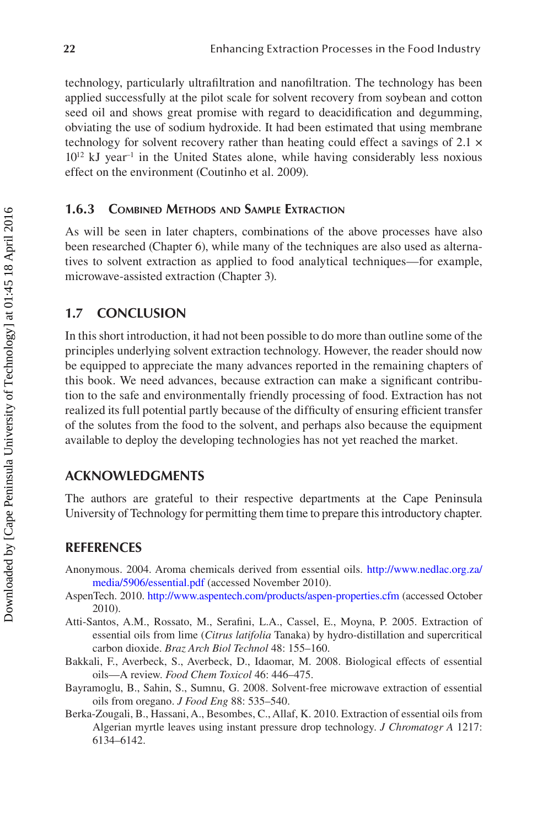technology, particularly ultrafiltration and nanofiltration. The technology has been applied successfully at the pilot scale for solvent recovery from soybean and cotton seed oil and shows great promise with regard to deacidification and degumming, obviating the use of sodium hydroxide. It had been estimated that using membrane technology for solvent recovery rather than heating could effect a savings of 2.1  $\times$ 10<sup>12</sup> kJ year<sup>-1</sup> in the United States alone, while having considerably less noxious effect on the environment (Coutinho et al. 2009).

## **1.6.3 Combined Methods and Sample Extraction**

As will be seen in later chapters, combinations of the above processes have also been researched (Chapter 6), while many of the techniques are also used as alternatives to solvent extraction as applied to food analytical techniques—for example, microwave-assisted extraction (Chapter 3).

# **1.7 CONCLUSION**

In this short introduction, it had not been possible to do more than outline some of the principles underlying solvent extraction technology. However, the reader should now be equipped to appreciate the many advances reported in the remaining chapters of this book. We need advances, because extraction can make a significant contribution to the safe and environmentally friendly processing of food. Extraction has not realized its full potential partly because of the difficulty of ensuring efficient transfer of the solutes from the food to the solvent, and perhaps also because the equipment available to deploy the developing technologies has not yet reached the market.

#### **ACKNOWLEDGMENTS**

The authors are grateful to their respective departments at the Cape Peninsula University of Technology for permitting them time to prepare thisintroductory chapter.

# **REFERENCES**

- Anonymous. 2004. Aroma chemicals derived from essential oils. [http://www.nedlac.org.za/](http://www.nedlac.org.za) [media/5906/essential.pdf](http://www.nedlac.org.za) (accessed November 2010).
- AspenTech. 2010. [http://www.aspentech.com/products/aspen-properties.cfm](http://www.aspentech.com) (accessed October 2010).
- Atti-Santos, A.M., Rossato, M., Serafini, L.A., Cassel, E., Moyna, P. 2005. Extraction of essential oils from lime (*Citrus latifolia* Tanaka) by hydro-distillation and supercritical carbon dioxide. *Braz Arch Biol Technol* 48: 155–160.
- Bakkali, F., Averbeck, S., Averbeck, D., Idaomar, M. 2008. Biological effects of essential oils—A review. *Food Chem Toxicol* 46: 446–475.
- Bayramoglu, B., Sahin, S., Sumnu, G. 2008. Solvent-free microwave extraction of essential oils from oregano. *J Food Eng* 88: 535–540.
- Berka-Zougali, B., Hassani, A., Besombes, C., Allaf, K. 2010. Extraction of essential oils from Algerian myrtle leaves using instant pressure drop technology. *J Chromatogr A* 1217: 6134–6142.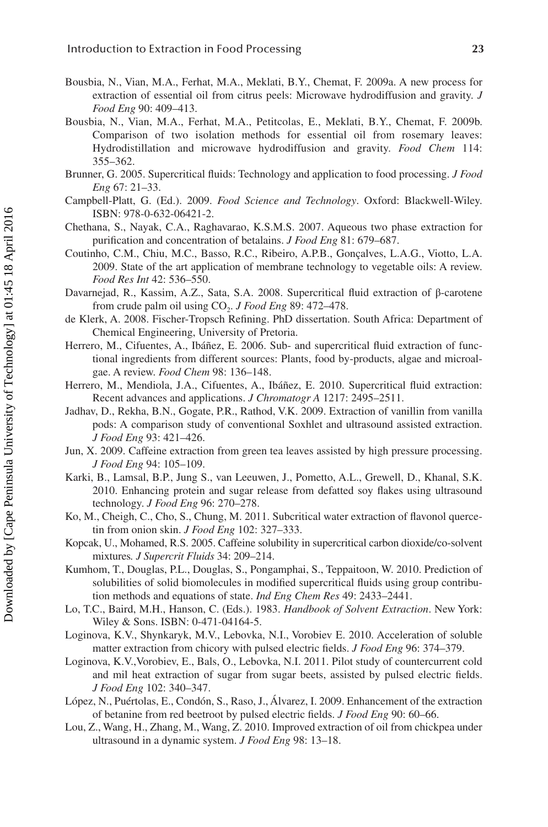- Bousbia, N., Vian, M.A., Ferhat, M.A., Meklati, B.Y., Chemat, F. 2009a. A new process for extraction of essential oil from citrus peels: Microwave hydrodiffusion and gravity. *J Food Eng* 90: 409–413.
- Bousbia, N., Vian, M.A., Ferhat, M.A., Petitcolas, E., Meklati, B.Y., Chemat, F. 2009b. Comparison of two isolation methods for essential oil from rosemary leaves: Hydrodistillation and microwave hydrodiffusion and gravity. *Food Chem* 114: 355–362.
- Brunner, G. 2005. Supercritical fluids: Technology and application to food processing. *J Food Eng* 67: 21–33.
- Campbell-Platt, G. (Ed.). 2009. *Food Science and Technology*. Oxford: Blackwell-Wiley. ISBN: 978-0-632-06421-2.
- Chethana, S., Nayak, C.A., Raghavarao, K.S.M.S. 2007. Aqueous two phase extraction for purification and concentration of betalains. *J Food Eng* 81: 679–687.
- Coutinho, C.M., Chiu, M.C., Basso, R.C., Ribeiro, A.P.B., Gonçalves, L.A.G., Viotto, L.A. 2009. State of the art application of membrane technology to vegetable oils: A review. *Food Res Int* 42: 536–550.
- Davarnejad, R., Kassim, A.Z., Sata, S.A. 2008. Supercritical fluid extraction of β-carotene from crude palm oil using CO<sub>2</sub>. *J Food Eng* 89: 472–478.
- de Klerk, A. 2008. Fischer-Tropsch Refining. PhD dissertation. South Africa: Department of Chemical Engineering, University of Pretoria.
- Herrero, M., Cifuentes, A., Ibáñez, E. 2006. Sub- and supercritical fluid extraction of functional ingredients from different sources: Plants, food by-products, algae and microalgae. A review. *Food Chem* 98: 136–148.
- Herrero, M., Mendiola, J.A., Cifuentes, A., Ibáñez, E. 2010. Supercritical fluid extraction: Recent advances and applications. *J Chromatogr A* 1217: 2495–2511.
- Jadhav, D., Rekha, B.N., Gogate, P.R., Rathod, V.K. 2009. Extraction of vanillin from vanilla pods: A comparison study of conventional Soxhlet and ultrasound assisted extraction. *J Food Eng* 93: 421–426.
- Jun, X. 2009. Caffeine extraction from green tea leaves assisted by high pressure processing. *J Food Eng* 94: 105–109.
- Karki, B., Lamsal, B.P., Jung S., van Leeuwen, J., Pometto, A.L., Grewell, D., Khanal, S.K. 2010. Enhancing protein and sugar release from defatted soy flakes using ultrasound technology. *J Food Eng* 96: 270–278.
- Ko, M., Cheigh, C., Cho, S., Chung, M. 2011. Subcritical water extraction of flavonol quercetin from onion skin. *J Food Eng* 102: 327–333.
- Kopcak, U., Mohamed, R.S. 2005. Caffeine solubility in supercritical carbon dioxide/co-solvent mixtures*. J Supercrit Fluids* 34: 209–214.
- Kumhom, T., Douglas, P.L., Douglas, S., Pongamphai, S., Teppaitoon, W. 2010. Prediction of solubilities of solid biomolecules in modified supercritical fluids using group contribution methods and equations of state. *Ind Eng Chem Res* 49: 2433–2441.
- Lo, T.C., Baird, M.H., Hanson, C. (Eds.). 1983. *Handbook of Solvent Extraction*. New York: Wiley & Sons. ISBN: 0-471-04164-5.
- Loginova, K.V., Shynkaryk, M.V., Lebovka, N.I., Vorobiev E. 2010. Acceleration of soluble matter extraction from chicory with pulsed electric fields. *J Food Eng* 96: 374–379.
- Loginova, K.V.,Vorobiev, E., Bals, O., Lebovka, N.I. 2011. Pilot study of countercurrent cold and mil heat extraction of sugar from sugar beets, assisted by pulsed electric fields. *J Food Eng* 102: 340–347.
- López, N., Puértolas, E., Condón, S., Raso, J., Álvarez, I. 2009. Enhancement of the extraction of betanine from red beetroot by pulsed electric fields. *J Food Eng* 90: 60–66.
- Lou, Z., Wang, H., Zhang, M., Wang, Z. 2010. Improved extraction of oil from chickpea under ultrasound in a dynamic system. *J Food Eng* 98: 13–18.